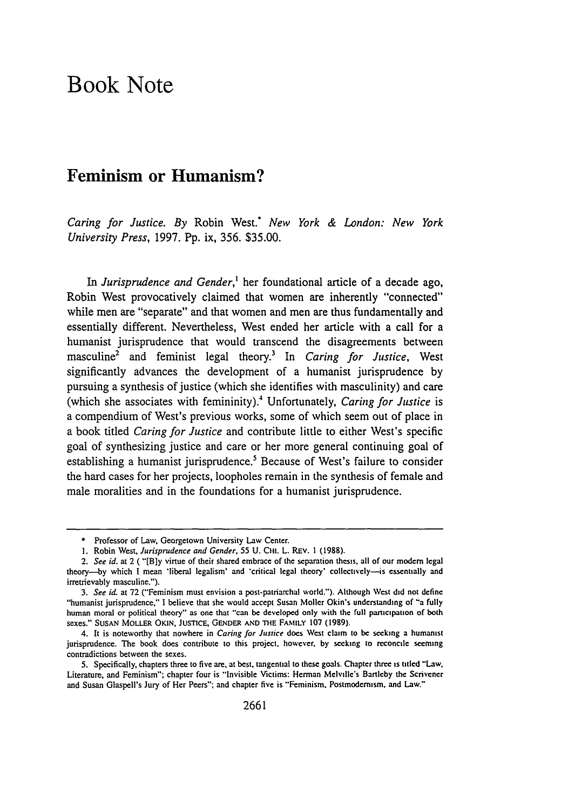## Book Note

## Feminism or Humanism?

*Caring for Justice. By* Robin **West.** *New York & London: New York University Press,* **1997. Pp.** ix, **356. \$35.00.**

*In Jurisprudence and Gender,'* her foundational article of a decade ago, Robin West provocatively claimed that women are inherently "connected" while men are "separate" and that women and men are thus fundamentally and essentially different. Nevertheless, West ended her article with a call for a humanist jurisprudence that would transcend the disagreements between masculine2 and feminist legal theory.3 In *Caring for Justice,* West significantly advances the development of a humanist jurisprudence **by** pursuing a synthesis of justice (which she identifies with masculinity) and care (which she associates with femininity).' Unfortunately, *Caring for Justice* is a compendium of West's previous works, some of which seem out of place in a book titled *Caring for Justice* and contribute little to either West's specific goal of synthesizing justice and care or her more general continuing goal of establishing a humanist jurisprudence.<sup>5</sup> Because of West's failure to consider the hard cases for her projects, loopholes remain in the synthesis of female and male moralities and in the foundations for a humanist jurisprudence.

**<sup>\*</sup>** Professor of Law, Georgetown University Law Center.

**<sup>1.</sup>** Robin West, *Jurisprudence and Gender, 55* **U. C111.** L. REv. **1 (1988).**

*<sup>2.</sup> See id.* at 2 **( "[B]y** virtue of their shared embrace of **the** separation thesis. all of our modem legal theory-by which **I** mean 'liberal legalism' and \*critical legal theory' collectively-is essentially and irretrievably masculine.").

*<sup>3.</sup> See id.* at **72** ("Feminism must envision a post-patriarchal world."). Although West did not define "humanist jurisprudence," **I** believe that she would accept Susan Moller Okin's understanding of "a fully human moral or political theory" as one that "can **be** developed only with the full participation of both sexes." **SUSAN** MoLLER **OKIN, JUSTICE, GENDER AND ThE FAMtLY 107 (1989).**

<sup>4.</sup> It is noteworthy that nowhere in *Caring* **for** *Justice* does **West** claim to **be** seeking a humanist jurisprudence. The book does contribute to this project, however, **by** seeking to reconcile seeming contradictions between the sexes.

**<sup>5.</sup>** Specifically, chapters three to five are, at best, tangential to these goals. Chapter three is titled "Law. Literature, and Feminism"; chapter four is "Invisible Victims: Herman Melville's Bartleby the Scrivener and Susan Glaspell's Jury of Her Peers"; and chapter five is "Feminism. Postmodemism. and Law."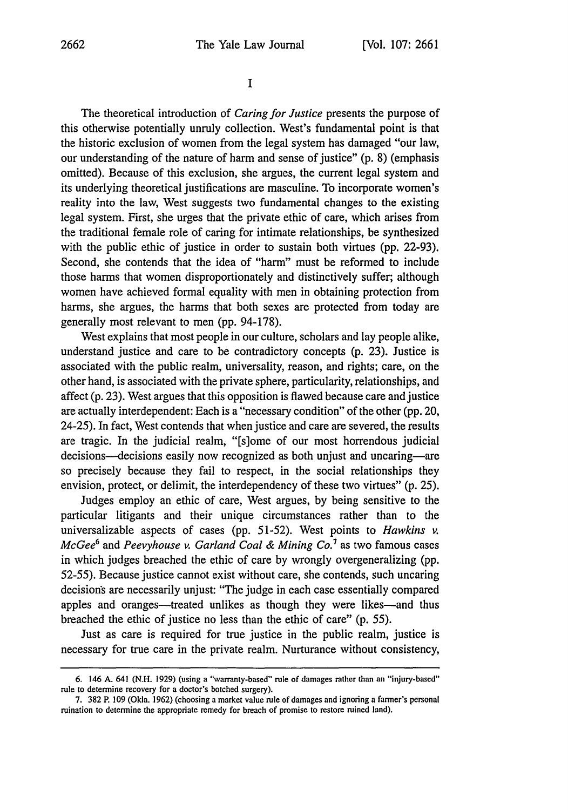**I**

The theoretical introduction of *Caring for Justice* presents the purpose of this otherwise potentially unruly collection. West's fundamental point is that the historic exclusion of women from the legal system has damaged "our law, our understanding of the nature of harm and sense of justice" (p. 8) (emphasis omitted). Because of this exclusion, she argues, the current legal system and its underlying theoretical justifications are masculine. To incorporate women's reality into the law, West suggests two fundamental changes to the existing legal system. First, she urges that the private ethic of care, which arises from the traditional female role of caring for intimate relationships, be synthesized with the public ethic of justice in order to sustain both virtues (pp. 22-93). Second, she contends that the idea of "harm" must be reformed to include those harms that women disproportionately and distinctively suffer; although women have achieved formal equality with men in obtaining protection from harms, she argues, the harms that both sexes are protected from today are generally most relevant to men (pp. 94-178).

West explains that most people in our culture, scholars and lay people alike, understand justice and care to be contradictory concepts (p. 23). Justice is associated with the public realm, universality, reason, and rights; care, on the other hand, is associated with the private sphere, particularity, relationships, and affect (p. 23). West argues that this opposition is flawed because care and justice are actually interdependent: Each is a "necessary condition" of the other (pp. 20, 24-25). In fact, West contends that when justice and care are severed, the results are tragic. In the judicial realm, "[s]ome of our most horrendous judicial decisions—decisions easily now recognized as both unjust and uncaring—are so precisely because they fail to respect, in the social relationships they envision, protect, or delimit, the interdependency of these two virtues" (p. 25).

Judges employ an ethic of care, West argues, by being sensitive to the particular litigants and their unique circumstances rather than to the universalizable aspects of cases (pp. 51-52). West points to *Hawkins v. McGee6* and *Peevyhouse v. Garland Coal & Mining Co.7* as two famous cases in which judges breached the ethic of care by wrongly overgeneralizing (pp. 52-55). Because justice cannot exist without care, she contends, such uncaring decision's are necessarily unjust: "The judge in each case essentially compared apples and oranges—treated unlikes as though they were likes—and thus breached the ethic of justice no less than the ethic of care" (p. *55).*

Just as care is required for true justice in the public realm, justice is necessary for true care in the private realm. Nurturance without consistency,

<sup>6. 146</sup> A. 641 (N.H. 1929) (using a "warranty-based" rule of damages rather than an "injury-based" rule to determine recovery for a doctor's botched surgery).

<sup>7. 382</sup> P. 109 (Okla. 1962) (choosing a market value rule of damages and ignoring a farmer's personal ruination to determine the appropriate remedy for breach of promise to restore ruined land).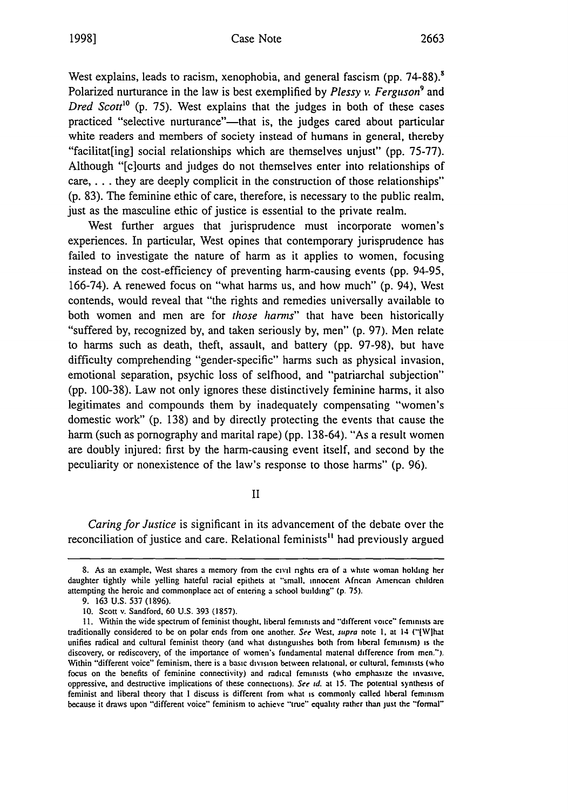West explains, leads to racism, xenophobia, and general fascism (pp. 74-88).<sup>8</sup> Polarized nurturance in the law is best exemplified by *Plessy v. Ferguson9* and *Dred Scott'0* (p. 75). West explains that the judges in both of these cases practiced "selective nurturance"-that is, the judges cared about particular white readers and members of society instead of humans in general, thereby "facilitat[ing] social relationships which are themselves unjust" (pp. 75-77). Although "[c]ourts and judges do not themselves enter into relationships of care.... they are deeply complicit in the construction of those relationships" (p. 83). The feminine ethic of care, therefore, is necessary to the public realm, just as the masculine ethic of justice is essential to the private realm.

West further argues that jurisprudence must incorporate women's experiences. In particular, West opines that contemporary jurisprudence has failed to investigate the nature of harm as it applies to women, focusing instead on the cost-efficiency of preventing harm-causing events (pp. 94-95, 166-74). A renewed focus on "what harms us, and how much" (p. 94), West contends, would reveal that "the rights and remedies universally available to both women and men are for *those harms*" that have been historically "suffered by, recognized by, and taken seriously by, men" (p. 97). Men relate to harms such as death, theft, assault, and battery (pp. 97-98), but have difficulty comprehending "gender-specific" harms such as physical invasion, emotional separation, psychic loss of selfhood, and "patriarchal subjection" (pp. 100-38). Law not only ignores these distinctively feminine harms, it also legitimates and compounds them by inadequately compensating "women's domestic work" (p. 138) and by directly protecting the events that cause the harm (such as pornography and marital rape) (pp. 138-64). "As a result women are doubly injured: first by the harm-causing event itself, and second by the peculiarity or nonexistence of the law's response to those harms" (p. 96).

II

*Caring for Justice* is significant in its advancement of the debate over the reconciliation of justice and care. Relational feminists" had previously argued

**<sup>8.</sup>** As an example, West shares a memory from the civil rights **cra** of a white woman **holding her** daughter tightly while yelling hateful racial epithets at "small, innocent African American children attempting the heroic and commonplace act of entering a school building" **(p.** 75).

<sup>9. 163</sup> U.S. **537** (1896).

**<sup>10.</sup>** Scott v. Sandford, 60 U.S. 393 (1857).

**<sup>11.</sup>** Within the wide spectrum of feminist thought, liberal feminists and "'different voice" feminists are traditionally considered to be on polar ends from one another. *See West.* supra note **I.** at 14 ("lWlhat unifies radical and cultural feminist theory (and what distinguishes both from liberal feminism) is the discovery, or rediscovery, of the importance of women's fundamental material difference from men."). Within "different voice" feminism, there is a basic division between relational, or cultural, feminists (who focus on the benefits of feminine connectivity) and radical feminists (who emphasize the invasivc. oppressive, and destructive implications of these connections). *See* **id.** at **15.** The potential synthesis of feminist and liberal theory that I discuss is different from what is commonly called liberal feminism because it draws upon "different voice" feminism to achieve "true" equality rather than just the "formal"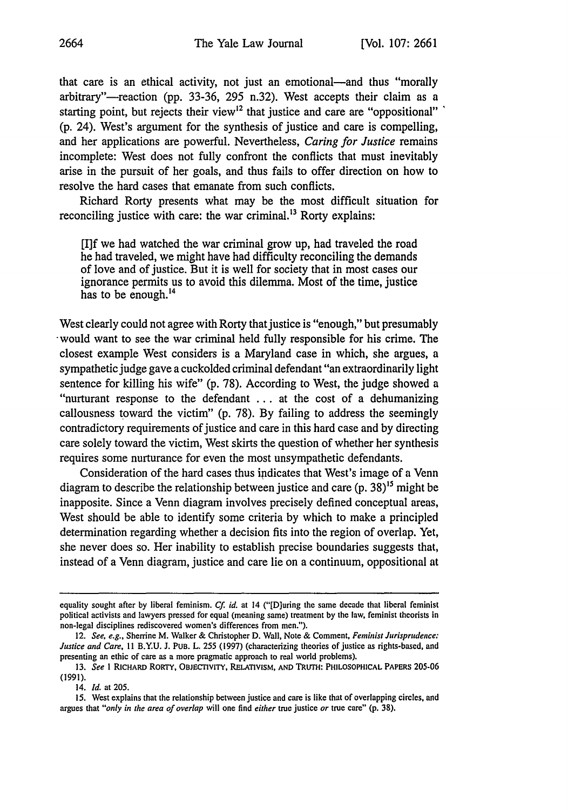that care is an ethical activity, not just an emotional-and thus "morally arbitrary"-reaction (pp. 33-36, 295 n.32). West accepts their claim as a starting point, but rejects their view<sup>12</sup> that justice and care are "oppositional" (p. 24). West's argument for the synthesis of justice and care is compelling, and her applications are powerful. Nevertheless, *Caring for Justice* remains incomplete: West does not fully confront the conflicts that must inevitably arise in the pursuit of her goals, and thus fails to offer direction on how to resolve the hard cases that emanate from such conflicts.

Richard Rorty presents what may be the most difficult situation for reconciling justice with care: the war criminal.<sup>13</sup> Rorty explains:

[I]f we had watched the war criminal grow up, had traveled the road he had traveled, we might have had difficulty reconciling the demands of love and of justice. But it is well for society that in most cases our ignorance permits us to avoid this dilemma. Most of the time, justice has to be enough.<sup>14</sup>

West clearly could not agree with Rorty that justice is "enough," but presumably would want to see the war criminal held fully responsible for his crime. The closest example West considers is a Maryland case in which, she argues, a sympathetic judge gave a cuckolded criminal defendant "an extraordinarily light sentence for killing his wife" (p. 78). According to West, the judge showed a "nurturant response to the defendant ... at the cost of a dehumanizing callousness toward the victim" (p. 78). By failing to address the seemingly contradictory requirements of justice and care in this hard case and by directing care solely toward the victim, West skirts the question of whether her synthesis requires some nurturance for even the most unsympathetic defendants.

Consideration of the hard cases thus indicates that West's image of a Venn diagram to describe the relationship between justice and care  $(p. 38)^{15}$  might be inapposite. Since a Venn diagram involves precisely defined conceptual areas, West should be able to identify some criteria by which to make a principled determination regarding whether a decision fits into the region of overlap. Yet, she never does so. Her inability to establish precise boundaries suggests that, instead of a Venn diagram, justice and care lie on a continuum, oppositional at

equality sought after by liberal feminism. *Cf* id. at 14 ("[D]uring the same decade that liberal feminist political activists and lawyers pressed for equal (meaning same) treatment by the law, feminist theorists in non-legal disciplines rediscovered women's differences from men.").

<sup>12.</sup> *See, e.g.,* Sherrine M. Walker & Christopher D. Wall, Note & Comment, *Feminist Jurisprudence: Justice and Care,* 11 B.Y.U. J. PUB. L. 255 (1997) (characterizing theories of justice as rights-based, and presenting an ethic of care as a more pragmatic approach to real world problems).

**<sup>13.</sup>** *See* **I** RICHARD RORTY, OBJECTIVITY, RELATIVISM, **AND** TRUrH: PHILOSOPHICAL PAPERS 205-06 (1991).

<sup>14.</sup> *Id.* at 205.

<sup>15.</sup> West explains that the relationship between justice and care is like that of overlapping circles, and argues that *"only in the area of overlap* will one find *either* true justice *or* true care" (p. 38).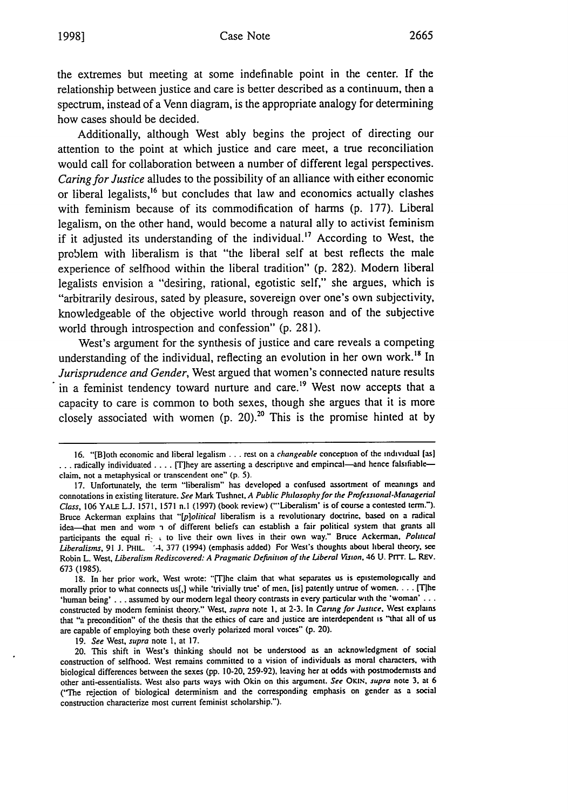## Case Note **1998] 2665**

the extremes but meeting at some indefinable point in the center. If the relationship between justice and care is better described as a continuum, then a spectrum, instead of a Venn diagram, is the appropriate analogy for determining how cases should be decided.

Additionally, although West ably begins the project of directing our attention to the point at which justice and care meet, a true reconciliation would call for collaboration between a number of different legal perspectives. *Caring for Justice* alludes to the possibility of an alliance with either economic or liberal legalists,<sup>16</sup> but concludes that law and economics actually clashes with feminism because of its commodification of harms (p. 177). Liberal legalism, on the other hand, would become a natural ally to activist feminism if it adjusted its understanding of the individual.<sup>17</sup> According to West, the problem with liberalism is that "the liberal self at best reflects the male experience of selfhood within the liberal tradition" (p. 282). Modem liberal legalists envision a "desiring, rational, egotistic self," she argues, which is "arbitrarily desirous, sated by pleasure, sovereign over one's own subjectivity, knowledgeable of the objective world through reason and of the subjective world through introspection and confession" (p. 281).

West's argument for the synthesis of justice and care reveals a competing understanding of the individual, reflecting an evolution in her own work.<sup>18</sup> In *Jurisprudence and Gender,* West argued that women's connected nature results in a feminist tendency toward nurture and care.<sup>19</sup> West now accepts that a capacity to care is common to both sexes, though she argues that it is more closely associated with women (p. 20).<sup>20</sup> This is the promise hinted at by

19. *See* West, *supra* note **1,** at 17.

**<sup>16.</sup>** "[B]oth economic and liberal legalism **...** rest on a *changeable* conception of the individual (as] ... radically individuated .... [T]hey are asserting a descriptive and empincal-and hence falsifiableclaim, not a metaphysical or transcendent one" (p. 5).

<sup>17.</sup> Unfortunately, the term "liberalism" has developed a confused assortment of meanings and connotations in existing literature. *See* Mark Tushnet, *A Public Philosophy for the Professional-Managerial Class, 106 YALE L.J. 1571, 1571 n.l (1997)* (book review) ("'Liberalism' is of course a contested term."). Bruce Ackerman explains that *"[p]olitical* liberalism is a revolutionary doctrine, based on a radical idea-that men and wom - of different beliefs can establish a fair political system that grants all participants the equal ri. **,** to live their own lives in their own way." Bruce Ackerman. *Political* Liberalisms, 91 J. PHIL. (4, 377 (1994) (emphasis added) For West's thoughts about liberal theory, see Robin L. West, *Liberalism Rediscovered: A Pragmatic Definition of* the *Liberal Vision.* 46 **U.** PiT' L REV. 673 (1985).

<sup>18.</sup> In her prior work, West wrote: "[T]he claim that what separates us is epistemologically and morally prior to what connects us[,] while 'trivially true' of men. [is) patently untrue of women .... [Tlhe 'human being' . . . assumed by our modern legal theory contrasts in every particular with the 'woman' . . . constructed by modem feminist theory." West, *supra* note **I.** at 2-3. In *Caring for Justice.* West explains that "a precondition" of the thesis that the ethics of care and justice are interdependent is "that all of us are capable of employing both these overly polarized moral voices" **(p.** 20).

<sup>20.</sup> This shift in West's thinking should not be understood as an acknowledgment of social construction of selfhood. West remains committed to a vision of individuals as moral characters, with biological differences between the sexes (pp. 10-20, 259-92), leaving her at odds with postmodemists and other anti-essentialists. West also parts ways with Okin on this argument. *See OKi., supra* note **3,** at 6 ("The rejection of biological determinism and the corresponding emphasis on gender as a social construction characterize most current feminist scholarship.").